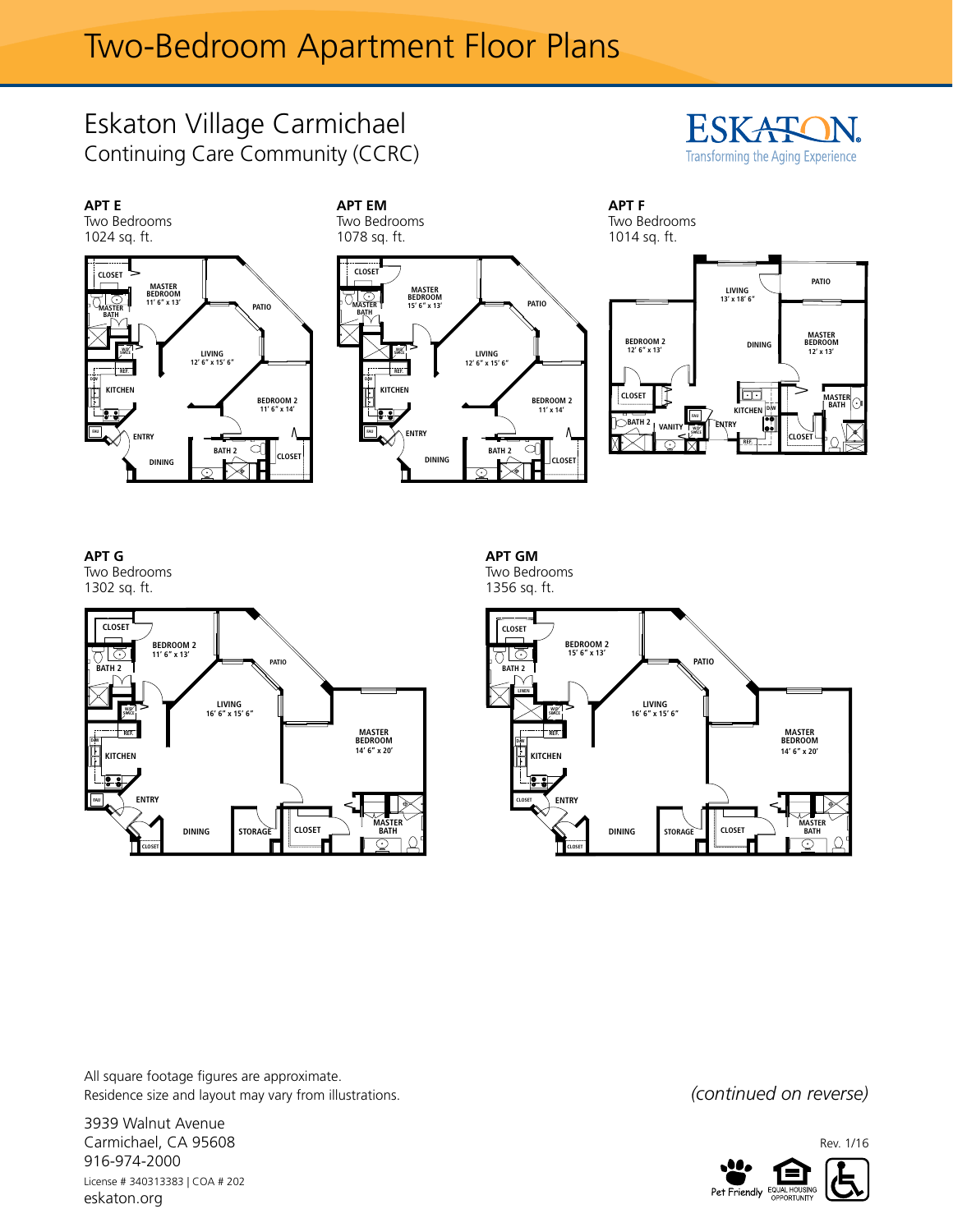## Eskaton Village Carmichael Continuing Care Community (CCRC)





**Apartment G (B212) APT G** Two Bedrooms 1302 sq. ft.



**APT GM** 

Two Bedrooms 1356 sq. ft.



All square footage figures are approximate. Residence size and layout may vary from illustrations. *(CONTINUED 00 TEVETSE)* 

3939 Walnut Avenue Carmichael, CA 95608 916-974-2000 License # 340313383 | COA # 202 eskaton.org